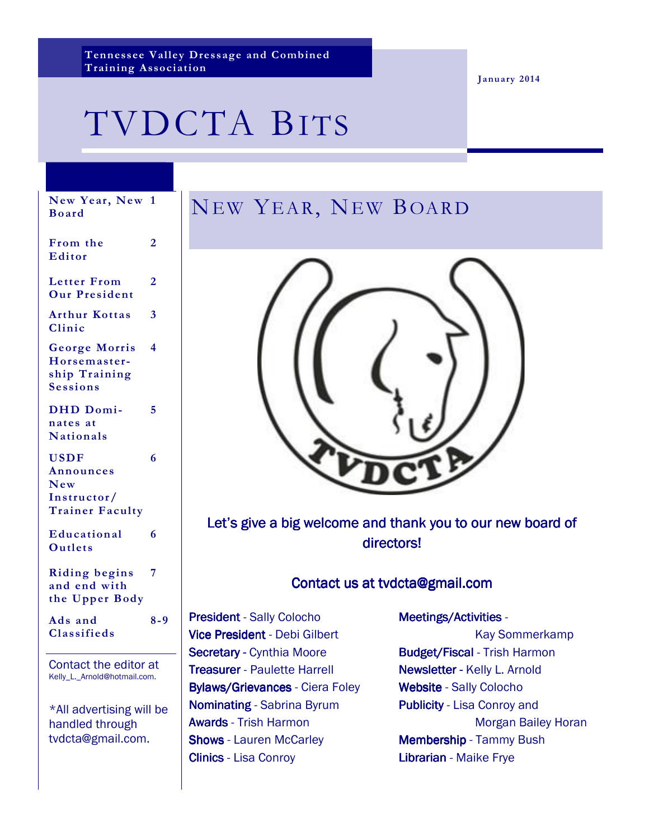**Tennessee Valley Dressage and Combined Training Association** 

**January 2014** 

# TVDCTA BITS

# NEW YEAR, NEW BOARD



Let's give a big welcome and thank you to our new board of directors!

## Contact us at tvdcta@gmail.com

President - Sally Colocho Vice President - Debi Gilbert Secretary - Cynthia Moore **Treasurer** - Paulette Harrell Bylaws/Grievances - Ciera Foley Nominating - Sabrina Byrum Awards - Trish Harmon **Shows** - Lauren McCarley **Clinics** - Lisa Conroy

#### Meetings/Activities -

 Kay Sommerkamp Budget/Fiscal - Trish Harmon Newsletter - Kelly L. Arnold Website - Sally Colocho Publicity - Lisa Conroy and Morgan Bailey Horan Membership - Tammy Bush Librarian - Maike Frye

#### **New Year, New 1 Board**

**2** 

**5** 

**6** 

**From the Editor** 

**Letter From Our President 2** 

**Arthur Kottas Clinic 3** 

**George Morris Horsemastership Training Sessions 4** 

**DHD Dominates at Nationals** 

**USDF Announces New Instructor/ Trainer Faculty** 

**Educational Outlets 6** 

**Riding begins and end with the Upper Body 7** 

**Ads and Classifieds 8-9** 

Contact the editor at Kelly\_L.\_Arnold@hotmail.com.

\*All advertising will be handled through tvdcta@gmail.com.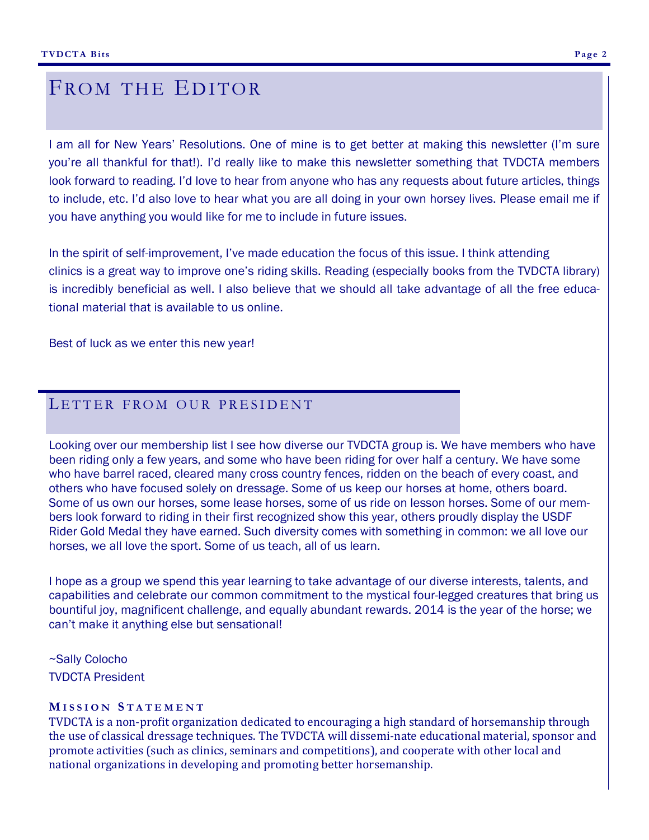## FROM THE EDITOR

I am all for New Years' Resolutions. One of mine is to get better at making this newsletter (I'm sure you're all thankful for that!). I'd really like to make this newsletter something that TVDCTA members look forward to reading. I'd love to hear from anyone who has any requests about future articles, things to include, etc. I'd also love to hear what you are all doing in your own horsey lives. Please email me if you have anything you would like for me to include in future issues.

In the spirit of self-improvement, I've made education the focus of this issue. I think attending clinics is a great way to improve one's riding skills. Reading (especially books from the TVDCTA library) is incredibly beneficial as well. I also believe that we should all take advantage of all the free educational material that is available to us online.

Best of luck as we enter this new year!

## LETTER FROM OUR PRESIDENT

Looking over our membership list I see how diverse our TVDCTA group is. We have members who have been riding only a few years, and some who have been riding for over half a century. We have some who have barrel raced, cleared many cross country fences, ridden on the beach of every coast, and others who have focused solely on dressage. Some of us keep our horses at home, others board. Some of us own our horses, some lease horses, some of us ride on lesson horses. Some of our members look forward to riding in their first recognized show this year, others proudly display the USDF Rider Gold Medal they have earned. Such diversity comes with something in common: we all love our horses, we all love the sport. Some of us teach, all of us learn.

I hope as a group we spend this year learning to take advantage of our diverse interests, talents, and capabilities and celebrate our common commitment to the mystical four-legged creatures that bring us bountiful joy, magnificent challenge, and equally abundant rewards. 2014 is the year of the horse; we can't make it anything else but sensational!

~Sally Colocho TVDCTA President

#### **M I S S I O N S T A T E M E N T**

TVDCTA is a non-profit organization dedicated to encouraging a high standard of horsemanship through the use of classical dressage techniques. The TVDCTA will dissemi-nate educational material, sponsor and promote activities (such as clinics, seminars and competitions), and cooperate with other local and national organizations in developing and promoting better horsemanship.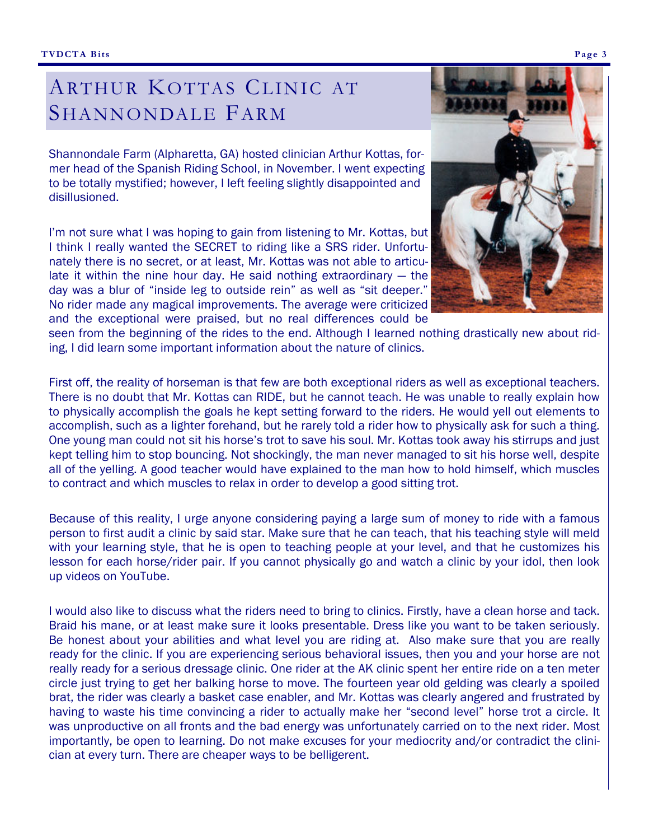# ARTHUR KOTTAS CLINIC AT SHANNONDALE FARM

Shannondale Farm (Alpharetta, GA) hosted clinician Arthur Kottas, former head of the Spanish Riding School, in November. I went expecting to be totally mystified; however, I left feeling slightly disappointed and disillusioned.

I'm not sure what I was hoping to gain from listening to Mr. Kottas, but I think I really wanted the SECRET to riding like a SRS rider. Unfortunately there is no secret, or at least, Mr. Kottas was not able to articulate it within the nine hour day. He said nothing extraordinary — the day was a blur of "inside leg to outside rein" as well as "sit deeper." No rider made any magical improvements. The average were criticized and the exceptional were praised, but no real differences could be



seen from the beginning of the rides to the end. Although I learned nothing drastically new about riding, I did learn some important information about the nature of clinics.

First off, the reality of horseman is that few are both exceptional riders as well as exceptional teachers. There is no doubt that Mr. Kottas can RIDE, but he cannot teach. He was unable to really explain how to physically accomplish the goals he kept setting forward to the riders. He would yell out elements to accomplish, such as a lighter forehand, but he rarely told a rider how to physically ask for such a thing. One young man could not sit his horse's trot to save his soul. Mr. Kottas took away his stirrups and just kept telling him to stop bouncing. Not shockingly, the man never managed to sit his horse well, despite all of the yelling. A good teacher would have explained to the man how to hold himself, which muscles to contract and which muscles to relax in order to develop a good sitting trot.

Because of this reality, I urge anyone considering paying a large sum of money to ride with a famous person to first audit a clinic by said star. Make sure that he can teach, that his teaching style will meld with your learning style, that he is open to teaching people at your level, and that he customizes his lesson for each horse/rider pair. If you cannot physically go and watch a clinic by your idol, then look up videos on YouTube.

I would also like to discuss what the riders need to bring to clinics. Firstly, have a clean horse and tack. Braid his mane, or at least make sure it looks presentable. Dress like you want to be taken seriously. Be honest about your abilities and what level you are riding at. Also make sure that you are really ready for the clinic. If you are experiencing serious behavioral issues, then you and your horse are not really ready for a serious dressage clinic. One rider at the AK clinic spent her entire ride on a ten meter circle just trying to get her balking horse to move. The fourteen year old gelding was clearly a spoiled brat, the rider was clearly a basket case enabler, and Mr. Kottas was clearly angered and frustrated by having to waste his time convincing a rider to actually make her "second level" horse trot a circle. It was unproductive on all fronts and the bad energy was unfortunately carried on to the next rider. Most importantly, be open to learning. Do not make excuses for your mediocrity and/or contradict the clinician at every turn. There are cheaper ways to be belligerent.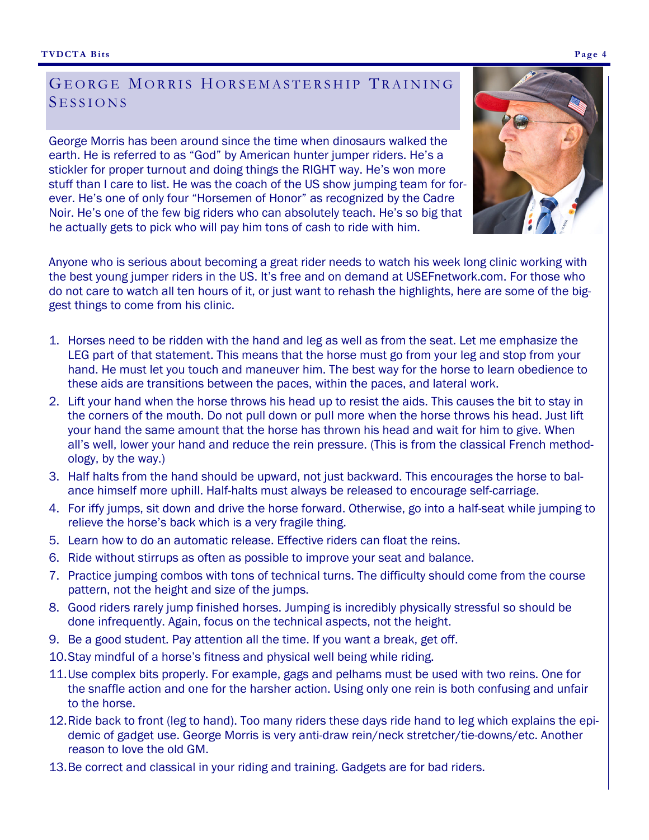## GEORGE MORRIS HORSEMASTERSHIP TRAINING SESSIONS

George Morris has been around since the time when dinosaurs walked the earth. He is referred to as "God" by American hunter jumper riders. He's a stickler for proper turnout and doing things the RIGHT way. He's won more stuff than I care to list. He was the coach of the US show jumping team for forever. He's one of only four "Horsemen of Honor" as recognized by the Cadre Noir. He's one of the few big riders who can absolutely teach. He's so big that he actually gets to pick who will pay him tons of cash to ride with him.



- 1. Horses need to be ridden with the hand and leg as well as from the seat. Let me emphasize the LEG part of that statement. This means that the horse must go from your leg and stop from your hand. He must let you touch and maneuver him. The best way for the horse to learn obedience to these aids are transitions between the paces, within the paces, and lateral work.
- 2. Lift your hand when the horse throws his head up to resist the aids. This causes the bit to stay in the corners of the mouth. Do not pull down or pull more when the horse throws his head. Just lift your hand the same amount that the horse has thrown his head and wait for him to give. When all's well, lower your hand and reduce the rein pressure. (This is from the classical French methodology, by the way.)
- 3. Half halts from the hand should be upward, not just backward. This encourages the horse to balance himself more uphill. Half-halts must always be released to encourage self-carriage.
- 4. For iffy jumps, sit down and drive the horse forward. Otherwise, go into a half-seat while jumping to relieve the horse's back which is a very fragile thing.
- 5. Learn how to do an automatic release. Effective riders can float the reins.
- 6. Ride without stirrups as often as possible to improve your seat and balance.
- 7. Practice jumping combos with tons of technical turns. The difficulty should come from the course pattern, not the height and size of the jumps.
- 8. Good riders rarely jump finished horses. Jumping is incredibly physically stressful so should be done infrequently. Again, focus on the technical aspects, not the height.
- 9. Be a good student. Pay attention all the time. If you want a break, get off.
- 10. Stay mindful of a horse's fitness and physical well being while riding.
- 11. Use complex bits properly. For example, gags and pelhams must be used with two reins. One for the snaffle action and one for the harsher action. Using only one rein is both confusing and unfair to the horse.
- 12. Ride back to front (leg to hand). Too many riders these days ride hand to leg which explains the epidemic of gadget use. George Morris is very anti-draw rein/neck stretcher/tie-downs/etc. Another reason to love the old GM.
- 13. Be correct and classical in your riding and training. Gadgets are for bad riders.



**Page 4**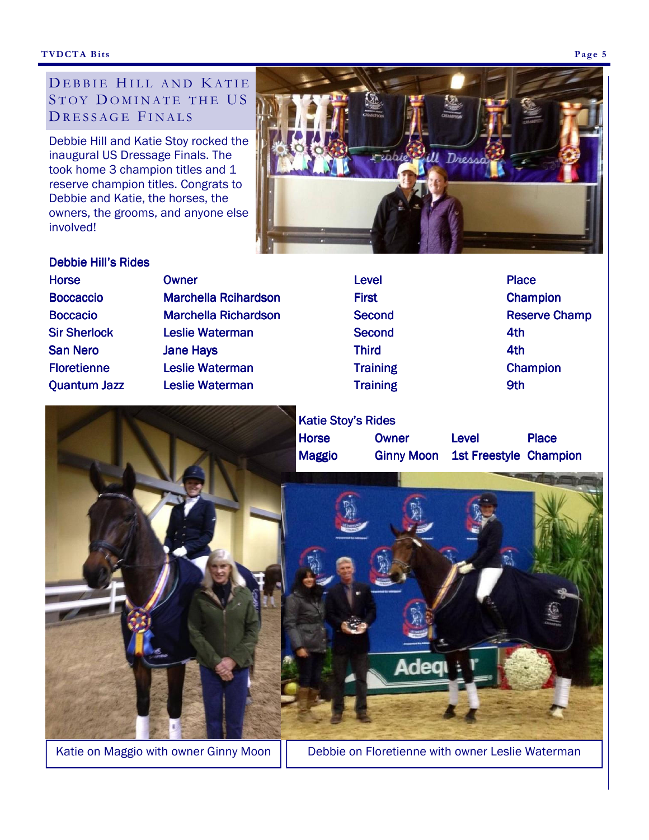## DEBBIE HILL AND KATIE STOY DOMINATE THE US DRESSAGE FINALS

Debbie Hill and Katie Stoy rocked the inaugural US Dressage Finals. The took home 3 champion titles and 1 reserve champion titles. Congrats to Debbie and Katie, the horses, the owners, the grooms, and anyone else involved!



### Debbie Hill's Rides

| <b>Horse</b>        | <b>Owner</b>                | <b>Level</b>    | <b>Place</b>         |
|---------------------|-----------------------------|-----------------|----------------------|
| <b>Boccaccio</b>    | <b>Marchella Rcihardson</b> | <b>First</b>    | <b>Champion</b>      |
| <b>Boccacio</b>     | <b>Marchella Richardson</b> | <b>Second</b>   | <b>Reserve Champ</b> |
| <b>Sir Sherlock</b> | <b>Leslie Waterman</b>      | <b>Second</b>   | 4th                  |
| <b>San Nero</b>     | <b>Jane Hays</b>            | <b>Third</b>    | 4th                  |
| <b>Floretienne</b>  | <b>Leslie Waterman</b>      | <b>Training</b> | <b>Champion</b>      |
| <b>Quantum Jazz</b> | <b>Leslie Waterman</b>      | <b>Training</b> | 9th                  |
|                     |                             |                 |                      |









Katie on Maggio with owner Ginny Moon  $||$  Debbie on Floretienne with owner Leslie Waterman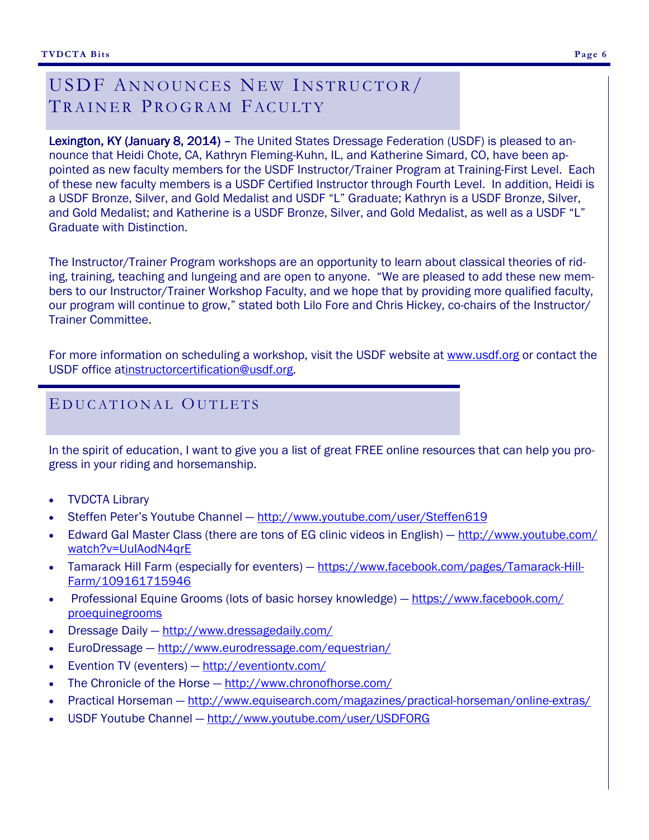# USDF ANNOUNCES NEW INSTRUCTOR/ TRAINER PROGRAM FACULTY

Lexington, KY (January 8, 2014) – The United States Dressage Federation (USDF) is pleased to announce that Heidi Chote, CA, Kathryn Fleming-Kuhn, IL, and Katherine Simard, CO, have been appointed as new faculty members for the USDF Instructor/Trainer Program at Training-First Level. Each of these new faculty members is a USDF Certified Instructor through Fourth Level. In addition, Heidi is a USDF Bronze, Silver, and Gold Medalist and USDF "L" Graduate; Kathryn is a USDF Bronze, Silver, and Gold Medalist; and Katherine is a USDF Bronze, Silver, and Gold Medalist, as well as a USDF "L" Graduate with Distinction.

The Instructor/Trainer Program workshops are an opportunity to learn about classical theories of riding, training, teaching and lungeing and are open to anyone. "We are pleased to add these new members to our Instructor/Trainer Workshop Faculty, and we hope that by providing more qualified faculty, our program will continue to grow," stated both Lilo Fore and Chris Hickey, co-chairs of the Instructor/ Trainer Committee.

For more information on scheduling a workshop, visit the USDF website at www.usdf.org or contact the USDF office atinstructorcertification@usdf.org.

## E DUCATIONAL OUTLETS

In the spirit of education, I want to give you a list of great FREE online resources that can help you progress in your riding and horsemanship.

- TVDCTA Library
- Steffen Peter's Youtube Channel http://www.youtube.com/user/Steffen619
- Edward Gal Master Class (there are tons of EG clinic videos in English) http://www.youtube.com/ watch?v=UuIAodN4qrE
- Tamarack Hill Farm (especially for eventers) https://www.facebook.com/pages/Tamarack-Hill-Farm/109161715946
- Professional Equine Grooms (lots of basic horsey knowledge) https://www.facebook.com/ proequinegrooms
- Dressage Daily http://www.dressagedaily.com/
- EuroDressage http://www.eurodressage.com/equestrian/
- Evention TV (eventers) http://eventiontv.com/
- The Chronicle of the Horse http://www.chronofhorse.com/
- Practical Horseman http://www.equisearch.com/magazines/practical-horseman/online-extras/
- USDF Youtube Channel http://www.youtube.com/user/USDFORG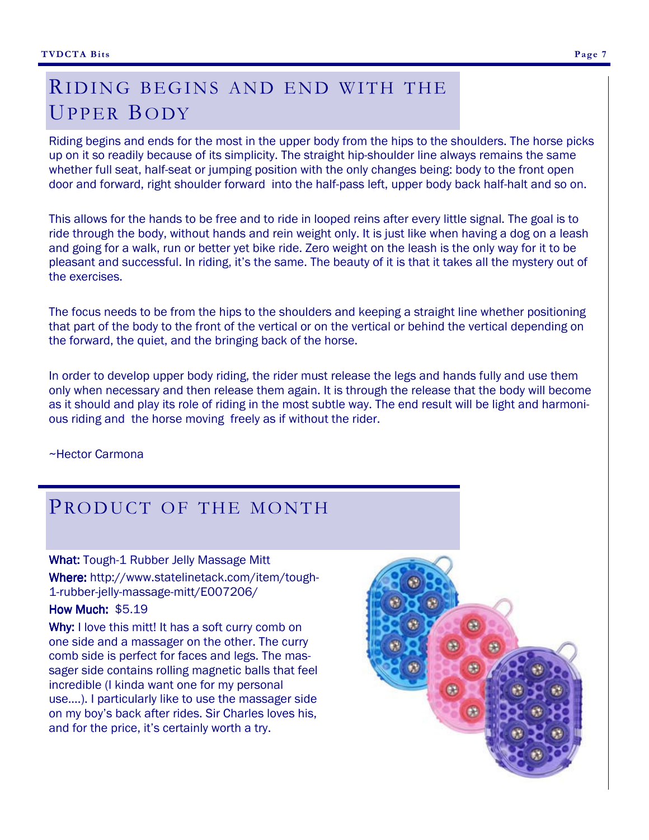# RIDING BEGINS AND END WITH THE UPPER BODY

Riding begins and ends for the most in the upper body from the hips to the shoulders. The horse picks up on it so readily because of its simplicity. The straight hip-shoulder line always remains the same whether full seat, half-seat or jumping position with the only changes being: body to the front open door and forward, right shoulder forward into the half-pass left, upper body back half-halt and so on.

This allows for the hands to be free and to ride in looped reins after every little signal. The goal is to ride through the body, without hands and rein weight only. It is just like when having a dog on a leash and going for a walk, run or better yet bike ride. Zero weight on the leash is the only way for it to be pleasant and successful. In riding, it's the same. The beauty of it is that it takes all the mystery out of the exercises.

The focus needs to be from the hips to the shoulders and keeping a straight line whether positioning that part of the body to the front of the vertical or on the vertical or behind the vertical depending on the forward, the quiet, and the bringing back of the horse.

In order to develop upper body riding, the rider must release the legs and hands fully and use them only when necessary and then release them again. It is through the release that the body will become as it should and play its role of riding in the most subtle way. The end result will be light and harmonious riding and the horse moving freely as if without the rider.

~Hector Carmona

# PRODUCT OF THE MONTH

#### What: Tough-1 Rubber Jelly Massage Mitt

Where: http://www.statelinetack.com/item/tough- 1-rubber-jelly-massage-mitt/E007206/

## How Much:  $$5.19$

Why: I love this mitt! It has a soft curry comb on one side and a massager on the other. The curry comb side is perfect for faces and legs. The massager side contains rolling magnetic balls that feel incredible (I kinda want one for my personal use….). I particularly like to use the massager side on my boy's back after rides. Sir Charles loves his, and for the price, it's certainly worth a try.

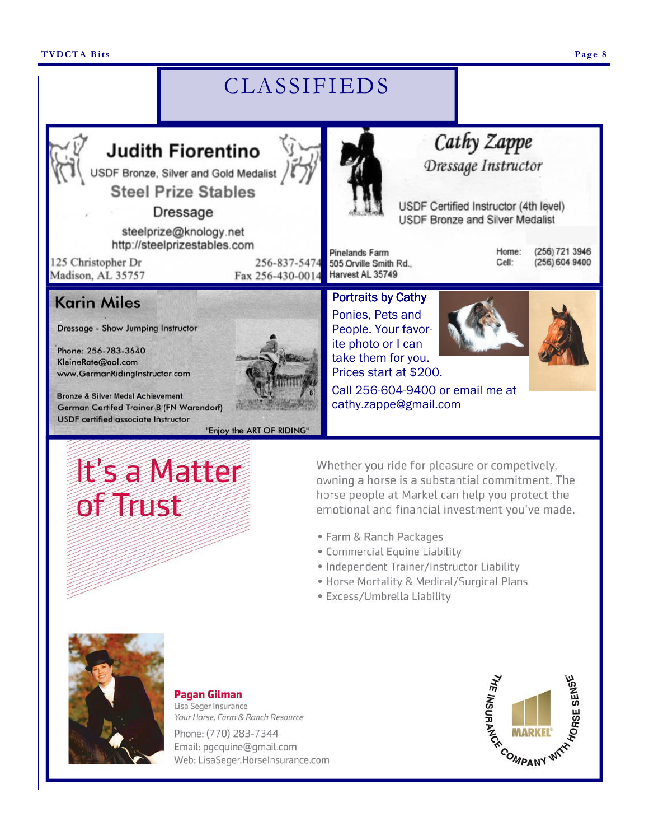#### **TVDCTA Bits Page 8**

# CLASSIFIEDS



steelprize@knology.net http://steelprizestables.com

125 Christopher Dr Madison, AL 35757

256-837-5474 Fax 256-430-0014

"Enjoy the ART OF RIDING"



Cathy Zappe

USDF Certified Instructor (4th level) **USDF Bronze and Silver Medalist** 

**Pinelands Farm** 505 Orville Smith Rd., Harvest AL 35749

Portraits by Cathy Ponies, Pets and People. Your favorite photo or I can take them for you. Prices start at \$200. Home: Cell:

(256) 721 3946 (256) 604 9400

**Karin Miles** 

**Dressage - Show Jumping Instructor** 

Phone: 256-783-3640 KleineRate@aol.com www.GermanRidingInstructor.com

**Bronze & Silver Medal Achievement** German Certifed Trainer B (FN Warendorf) **USDF** certified associate Instructor

# **It's a Matter** of Trust

Whether you ride for pleasure or competively, owning a horse is a substantial commitment. The horse people at Markel can help you protect the emotional and financial investment you've made.

Call 256-604-9400 or email me at

cathy.zappe@gmail.com

- · Farm & Ranch Packages
- · Commercial Equine Liability
- · Independent Trainer/Instructor Liability
- · Horse Mortality & Medical/Surgical Plans
- · Excess/Umbrella Liability



#### **Pagan Gilman**

Lisa Seger Insurance Your Horse, Farm & Ranch Resource

Phone: (770) 283-7344 Email: pgequine@gmail.com Web: LisaSeger.HorseInsurance.com